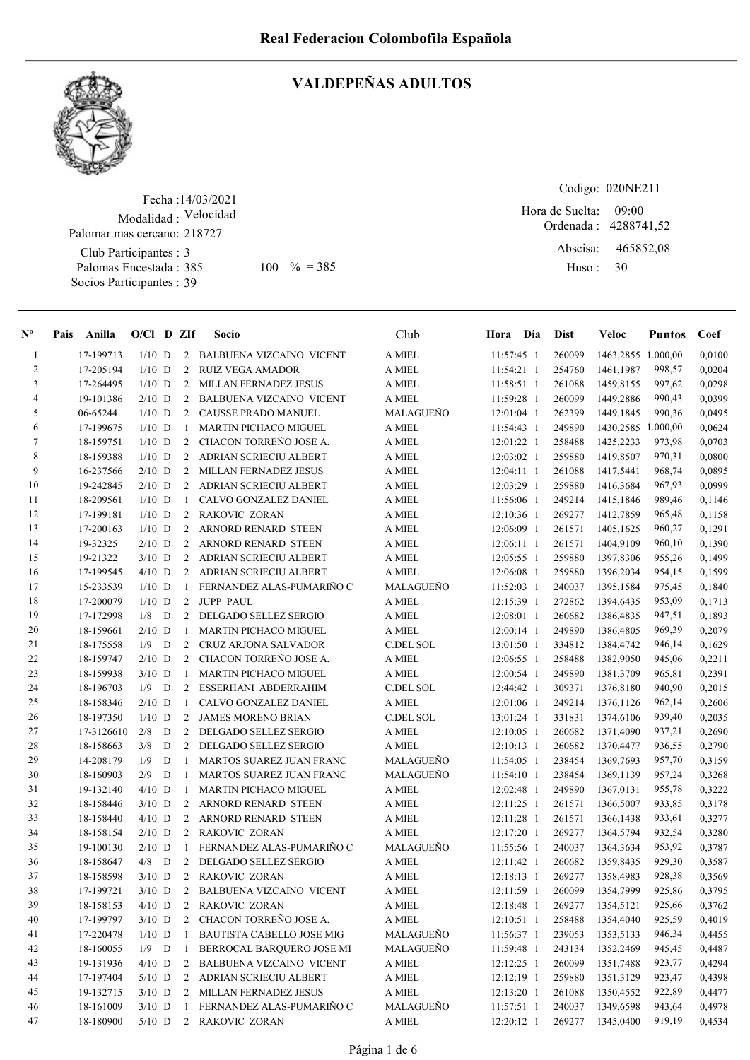

## VALDEPEÑAS ADULTOS

Fecha : 14/03/2021 Modalidad : Velocidad Club Participantes : 3 Palomas Encestada : Socios Participantes : 39 Palomar mas cercano: 218727

Codigo: 020NE211 Hora de Suelta: 09:00

Ordenada : 4288741,52 Abscisa: Huso : 465852,08 385 100 % = 385 Huso: 30

| $N^{\circ}$    | Pais Anilla | $O/Cl$ D ZIf |   |                | Socio                            | Club              | Hora Dia     | <b>Dist</b> | Veloc              | <b>Puntos</b> | Coef   |
|----------------|-------------|--------------|---|----------------|----------------------------------|-------------------|--------------|-------------|--------------------|---------------|--------|
| $\mathbf{1}$   | 17-199713   | $1/10$ D     |   | 2              | <b>BALBUENA VIZCAINO VICENT</b>  | A MIEL            | 11:57:45 1   | 260099      | 1463,2855 1.000,00 |               | 0,0100 |
| $\overline{c}$ | 17-205194   | $1/10$ D     |   | 2              | <b>RUIZ VEGA AMADOR</b>          | A MIEL            | $11:54:21$ 1 | 254760      | 1461,1987          | 998,57        | 0,0204 |
| 3              | 17-264495   | $1/10$ D     |   | $\overline{2}$ | <b>MILLAN FERNADEZ JESUS</b>     | A MIEL            | 11:58:51 1   | 261088      | 1459,8155          | 997,62        | 0,0298 |
| 4              | 19-101386   | $2/10$ D     |   | 2              | <b>BALBUENA VIZCAINO VICENT</b>  | A MIEL            | 11:59:28 1   | 260099      | 1449,2886          | 990,43        | 0,0399 |
| 5              | 06-65244    | $1/10$ D     |   |                | 2 CAUSSE PRADO MANUEL            | <b>MALAGUENO</b>  | 12:01:04 1   | 262399      | 1449,1845          | 990,36        | 0,0495 |
| 6              | 17-199675   | $1/10$ D     |   | -1             | <b>MARTIN PICHACO MIGUEL</b>     | A MIEL            | 11:54:43 1   | 249890      | 1430,2585 1.000,00 |               | 0,0624 |
| $\tau$         | 18-159751   | $1/10$ D     |   | 2              | CHACON TORREÑO JOSE A.           | A MIEL            | 12:01:22 1   | 258488      | 1425,2233          | 973,98        | 0,0703 |
| $\,$ 8 $\,$    | 18-159388   | $1/10$ D     |   | $\overline{2}$ | ADRIAN SCRIECIU ALBERT           | A MIEL            | 12:03:02 1   | 259880      | 1419,8507          | 970,31        | 0,0800 |
| 9              | 16-237566   | $2/10$ D     |   | $\overline{2}$ | MILLAN FERNADEZ JESUS            | A MIEL            | $12:04:11$ 1 | 261088      | 1417,5441          | 968,74        | 0,0895 |
| 10             | 19-242845   | $2/10$ D     |   | $\overline{2}$ | ADRIAN SCRIECIU ALBERT           | A MIEL            | 12:03:29 1   | 259880      | 1416,3684          | 967,93        | 0,0999 |
| 11             | 18-209561   | $1/10$ D     |   | -1             | CALVO GONZALEZ DANIEL            | A MIEL            | 11:56:06 1   | 249214      | 1415,1846          | 989,46        | 0,1146 |
| 12             | 17-199181   | $1/10$ D     |   | $2^{\circ}$    | RAKOVIC ZORAN                    | A MIEL            | 12:10:36 1   | 269277      | 1412,7859          | 965,48        | 0,1158 |
| 13             | 17-200163   | $1/10$ D     |   | $\overline{2}$ | ARNORD RENARD STEEN              | A MIEL            | 12:06:09 1   | 261571      | 1405,1625          | 960,27        | 0,1291 |
| 14             | 19-32325    | $2/10$ D     |   | 2              | ARNORD RENARD STEEN              | A MIEL            | $12:06:11$ 1 | 261571      | 1404,9109          | 960,10        | 0,1390 |
| 15             | 19-21322    | $3/10$ D     |   | $\overline{2}$ | ADRIAN SCRIECIU ALBERT           | A MIEL            | 12:05:55 1   | 259880      | 1397,8306          | 955,26        | 0,1499 |
| 16             | 17-199545   | $4/10$ D     |   |                | 2 ADRIAN SCRIECIU ALBERT         | A MIEL            | 12:06:08 1   | 259880      | 1396,2034          | 954,15        | 0,1599 |
| 17             | 15-233539   | $1/10$ D     |   | $\mathbf{1}$   | FERNANDEZ ALAS-PUMARINO C        | MALAGUEÑO         | $11:52:03$ 1 | 240037      | 1395,1584          | 975,45        | 0,1840 |
| 18             | 17-200079   | $1/10$ D     |   |                | 2 JUPP PAUL                      | A MIEL            | 12:15:39 1   | 272862      | 1394,6435          | 953,09        | 0,1713 |
| 19             | 17-172998   | $1/8$ D      |   |                | 2 DELGADO SELLEZ SERGIO          | A MIEL            | 12:08:01 1   | 260682      | 1386,4835          | 947,51        | 0,1893 |
| 20             | 18-159661   | $2/10$ D     |   | -1             | MARTIN PICHACO MIGUEL            | A MIEL            | $12:00:14$ 1 | 249890      | 1386,4805          | 969,39        | 0,2079 |
| 21             | 18-175558   | 1/9          | D | $\overline{2}$ | CRUZ ARJONA SALVADOR             | C.DEL SOL         | $13:01:50$ 1 | 334812      | 1384,4742          | 946,14        | 0,1629 |
| 22             | 18-159747   | $2/10$ D     |   | $\overline{2}$ | CHACON TORREÑO JOSE A.           | A MIEL            | 12:06:55 1   | 258488      | 1382,9050          | 945,06        | 0,2211 |
| 23             | 18-159938   | $3/10$ D     |   | -1             | <b>MARTIN PICHACO MIGUEL</b>     | A MIEL            | 12:00:54 1   | 249890      | 1381,3709          | 965,81        | 0,2391 |
| 24             | 18-196703   | 1/9          | D | 2              | ESSERHANI ABDERRAHIM             | C.DEL SOL         | 12:44:42 1   | 309371      | 1376,8180          | 940,90        | 0,2015 |
| 25             | 18-158346   | $2/10$ D     |   | -1             | CALVO GONZALEZ DANIEL            | A MIEL            | 12:01:06 1   | 249214      | 1376,1126          | 962,14        | 0,2606 |
| 26             | 18-197350   | $1/10$ D     |   | 2              | <b>JAMES MORENO BRIAN</b>        | <b>C.DEL SOL</b>  | 13:01:24 1   | 331831      | 1374,6106          | 939,40        | 0,2035 |
| 27             | 17-3126610  | 2/8          | D | 2              | DELGADO SELLEZ SERGIO            | A MIEL            | $12:10:05$ 1 | 260682      | 1371,4090          | 937,21        | 0,2690 |
| 28             | 18-158663   | 3/8          | D | $\overline{2}$ | DELGADO SELLEZ SERGIO            | A MIEL            | 12:10:13 1   | 260682      | 1370,4477          | 936,55        | 0,2790 |
| 29             | 14-208179   | 1/9          | D | -1             | MARTOS SUAREZ JUAN FRANC         | MALAGUEÑO         | 11:54:05 1   | 238454      | 1369,7693          | 957,70        | 0,3159 |
| 30             | 18-160903   | 2/9          | D | -1             | MARTOS SUAREZ JUAN FRANC         | MALAGUEÑO         | 11:54:10 1   | 238454      | 1369,1139          | 957,24        | 0,3268 |
| 31             | 19-132140   | $4/10$ D     |   | -1             | <b>MARTIN PICHACO MIGUEL</b>     | A MIEL            | 12:02:48 1   | 249890      | 1367,0131          | 955,78        | 0,3222 |
| 32             | 18-158446   | $3/10$ D     |   | 2              | ARNORD RENARD STEEN              | A MIEL            | $12:11:25$ 1 | 261571      | 1366,5007          | 933,85        | 0,3178 |
| 33             | 18-158440   | $4/10$ D     |   | $\overline{2}$ | ARNORD RENARD STEEN              | A MIEL            | 12:11:28 1   | 261571      | 1366,1438          | 933,61        | 0,3277 |
| 34             | 18-158154   | $2/10$ D     |   | $\overline{2}$ | RAKOVIC ZORAN                    | A MIEL            | 12:17:20 1   | 269277      | 1364,5794          | 932,54        | 0,3280 |
| 35             | 19-100130   | $2/10$ D     |   | -1             | FERNANDEZ ALAS-PUMARIÑO C        | MALAGUEÑO         | 11:55:56 1   | 240037      | 1364,3634          | 953,92        | 0,3787 |
| 36             | 18-158647   | 4/8          | D | 2              | DELGADO SELLEZ SERGIO            | A MIEL            | 12:11:42 1   | 260682      | 1359,8435          | 929,30        | 0,3587 |
| 37             | 18-158598   | $3/10$ D     |   |                | 2 RAKOVIC ZORAN                  | A MIEL            | 12:18:13 1   | 269277      | 1358,4983          | 928,38        | 0,3569 |
| 38             | 17-199721   | $3/10$ D     |   | 2              | <b>BALBUENA VIZCAINO VICENT</b>  | A MIEL            | 12:11:59 1   | 260099      | 1354,7999          | 925,86        | 0,3795 |
| 39             | 18-158153   | $4/10$ D     |   | 2              | RAKOVIC ZORAN                    | A MIEL            | 12:18:48 1   | 269277      | 1354,5121          | 925,66        | 0,3762 |
| 40             | 17-199797   | $3/10$ D     |   | $\overline{2}$ | CHACON TORREÑO JOSE A.           | $\mathcal A$ MIEL | 12:10:51 1   | 258488      | 1354,4040          | 925,59        | 0,4019 |
| 41             | 17-220478   | $1/10$ D     |   | $\mathbf{1}$   | <b>BAUTISTA CABELLO JOSE MIG</b> | MALAGUEÑO         | 11:56:37 1   | 239053      | 1353,5133          | 946,34        | 0,4455 |
| 42             | 18-160055   | $1/9$ D      |   |                | 1 BERROCAL BARQUERO JOSE MI      | MALAGUEÑO         | 11:59:48 1   | 243134      | 1352,2469          | 945,45        | 0,4487 |
| 43             | 19-131936   | $4/10$ D     |   |                | 2 BALBUENA VIZCAINO VICENT       | A MIEL            | 12:12:25 1   | 260099      | 1351,7488          | 923,77        | 0,4294 |
| 44             | 17-197404   | $5/10$ D     |   | 2              | ADRIAN SCRIECIU ALBERT           | A MIEL            | 12:12:19 1   | 259880      | 1351,3129          | 923,47        | 0,4398 |
| 45             | 19-132715   | $3/10$ D     |   | 2              | MILLAN FERNADEZ JESUS            | A MIEL            | 12:13:20 1   | 261088      | 1350,4552          | 922,89        | 0,4477 |
| $46\,$         | 18-161009   | $3/10$ D     |   | -1             | FERNANDEZ ALAS-PUMARIÑO C        | MALAGUEÑO         | 11:57:51 1   | 240037      | 1349,6598          | 943,64        | 0,4978 |
| 47             | 18-180900   | $5/10$ D     |   | $\overline{2}$ | RAKOVIC ZORAN                    | A MIEL            | 12:20:12 1   | 269277      | 1345,0400          | 919,19        | 0,4534 |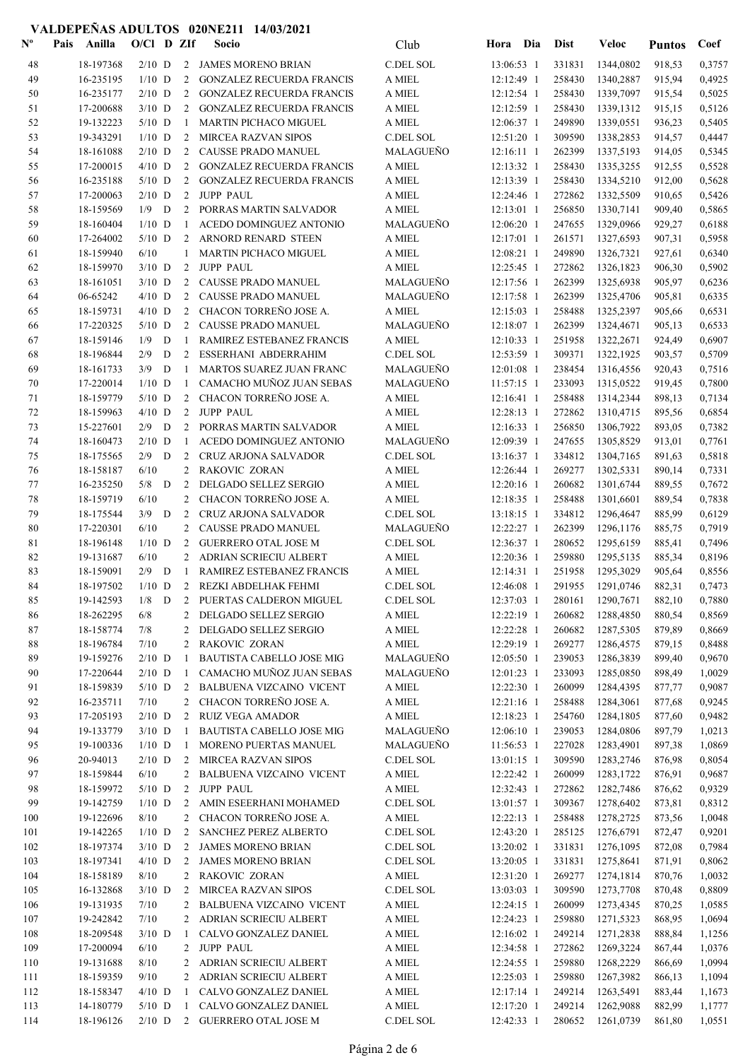| $\mathbf{N}^{\mathbf{o}}$ | Pais<br>Anilla         | $O/C1$ D ZIf |   |                | Socio                                           | Club             | Dia<br>Hora                 | <b>Dist</b>      | <b>Veloc</b>           | <b>Puntos</b>    | Coef             |
|---------------------------|------------------------|--------------|---|----------------|-------------------------------------------------|------------------|-----------------------------|------------------|------------------------|------------------|------------------|
| 48                        | 18-197368              | $2/10$ D     |   | 2              | JAMES MORENO BRIAN                              | C.DEL SOL        | 13:06:53 1                  | 331831           | 1344,0802              | 918,53           | 0,3757           |
| 49                        | 16-235195              | $1/10$ D     |   | 2              | <b>GONZALEZ RECUERDA FRANCIS</b>                | A MIEL           | 12:12:49 1                  | 258430           | 1340,2887              | 915,94           | 0,4925           |
| 50                        | 16-235177              | $2/10$ D     |   | 2              | <b>GONZALEZ RECUERDA FRANCIS</b>                | A MIEL           | $12:12:54$ 1                | 258430           | 1339,7097              | 915,54           | 0,5025           |
| 51                        | 17-200688              | $3/10$ D     |   | 2              | <b>GONZALEZ RECUERDA FRANCIS</b>                | A MIEL           | 12:12:59 1                  | 258430           | 1339,1312              | 915,15           | 0,5126           |
| 52                        | 19-132223              | $5/10$ D     |   | 1              | <b>MARTIN PICHACO MIGUEL</b>                    | A MIEL           | 12:06:37 1                  | 249890           | 1339,0551              | 936,23           | 0,5405           |
| 53                        | 19-343291              | $1/10$ D     |   |                | 2 MIRCEA RAZVAN SIPOS                           | C.DEL SOL        | $12:51:20$ 1                | 309590           | 1338,2853              | 914,57           | 0,4447           |
| 54                        | 18-161088              | $2/10$ D     |   | 2              | CAUSSE PRADO MANUEL                             | MALAGUEÑO        | 12:16:11 1                  | 262399           | 1337,5193              | 914,05           | 0,5345           |
| 55                        | 17-200015              | $4/10$ D     |   | 2              | <b>GONZALEZ RECUERDA FRANCIS</b>                | A MIEL           | 12:13:32 1                  | 258430           | 1335,3255              | 912,55           | 0,5528           |
| 56                        | 16-235188              | $5/10$ D     |   | 2              | <b>GONZALEZ RECUERDA FRANCIS</b>                | A MIEL           | 12:13:39 1                  | 258430           | 1334,5210              | 912,00           | 0,5628           |
| 57                        | 17-200063              | $2/10$ D     |   | 2              | <b>JUPP PAUL</b>                                | A MIEL           | 12:24:46 1                  | 272862           | 1332,5509              | 910,65           | 0,5426           |
| 58                        | 18-159569              | 1/9          | D | 2              | PORRAS MARTIN SALVADOR                          | A MIEL           | 12:13:01 1                  | 256850           | 1330,7141              | 909,40           | 0,5865           |
| 59                        | 18-160404              | $1/10$ D     |   | -1             | ACEDO DOMINGUEZ ANTONIO                         | MALAGUEÑO        | 12:06:20 1                  | 247655           | 1329,0966              | 929,27           | 0,6188           |
| 60                        | 17-264002              | $5/10$ D     |   | 2              | ARNORD RENARD STEEN                             | A MIEL           | 12:17:01 1                  | 261571           | 1327,6593              | 907,31           | 0,5958           |
| 61                        | 18-159940              | 6/10         |   | $\mathbf{1}$   | <b>MARTIN PICHACO MIGUEL</b>                    | A MIEL           | 12:08:21 1                  | 249890           | 1326,7321              | 927,61           | 0,6340           |
| 62                        | 18-159970              | $3/10$ D     |   | 2              | <b>JUPP PAUL</b>                                | A MIEL           | 12:25:45 1                  | 272862           | 1326,1823              | 906,30           | 0,5902           |
| 63                        | 18-161051              | $3/10$ D     |   | 2              | CAUSSE PRADO MANUEL                             | MALAGUEÑO        | 12:17:56 1                  | 262399           | 1325,6938              | 905,97           | 0,6236           |
| 64                        | 06-65242               | $4/10$ D     |   | 2              | CAUSSE PRADO MANUEL                             | MALAGUEÑO        | 12:17:58 1                  | 262399           | 1325,4706              | 905,81           | 0,6335           |
| 65                        | 18-159731              | $4/10$ D     |   | 2              | CHACON TORREÑO JOSE A.                          | A MIEL           | 12:15:03 1                  | 258488           | 1325,2397              | 905,66           | 0,6531           |
| 66                        | 17-220325              | $5/10$ D     |   | $\mathbf{2}$   | CAUSSE PRADO MANUEL                             | MALAGUEÑO        | 12:18:07 1                  | 262399           | 1324,4671              | 905,13           | 0,6533           |
| 67                        | 18-159146              | 1/9          | D | 1              | RAMIREZ ESTEBANEZ FRANCIS                       | A MIEL           | 12:10:33 1                  | 251958           | 1322,2671              | 924,49           | 0,6907           |
| 68                        | 18-196844              | 2/9          | D | 2              | ESSERHANI ABDERRAHIM                            | C.DEL SOL        | 12:53:59 1                  | 309371           | 1322,1925              | 903,57           | 0,5709           |
| 69                        | 18-161733              | 3/9          | D | 1              | MARTOS SUAREZ JUAN FRANC                        | MALAGUEÑO        | $12:01:08$ 1                | 238454           | 1316,4556              | 920,43           | 0,7516           |
| 70                        | 17-220014              | $1/10$ D     |   | 1              | CAMACHO MUÑOZ JUAN SEBAS                        | MALAGUEÑO        | 11:57:15 1                  | 233093           | 1315,0522              | 919,45           | 0,7800           |
| 71                        | 18-159779              | $5/10$ D     |   | 2              | CHACON TORREÑO JOSE A.                          | A MIEL           | 12:16:41 1                  | 258488           | 1314,2344              | 898,13           | 0,7134           |
| 72                        | 18-159963              | $4/10$ D     |   | 2              | <b>JUPP PAUL</b>                                | A MIEL           | 12:28:13 1                  | 272862           | 1310,4715              | 895,56           | 0,6854           |
| 73                        | 15-227601              | $2/9$ D      |   | 2              | PORRAS MARTIN SALVADOR                          | A MIEL           | $12:16:33$ 1                | 256850           | 1306,7922              | 893,05           | 0,7382           |
| 74                        | 18-160473              | $2/10$ D     |   | 1              | ACEDO DOMINGUEZ ANTONIO                         | <b>MALAGUENO</b> | 12:09:39 1                  | 247655           | 1305,8529              | 913,01           | 0,7761           |
| 75                        | 18-175565              | 2/9          | D | 2              | <b>CRUZ ARJONA SALVADOR</b>                     | C.DEL SOL        | 13:16:37 1                  | 334812           | 1304,7165              | 891,63           | 0,5818           |
| 76                        | 18-158187              | 6/10         |   | $\overline{2}$ | RAKOVIC ZORAN                                   | A MIEL           | 12:26:44 1                  | 269277           | 1302,5331              | 890,14           | 0,7331           |
| 77<br>78                  | 16-235250<br>18-159719 | 5/8<br>6/10  | D | 2<br>2         | DELGADO SELLEZ SERGIO<br>CHACON TORREÑO JOSE A. | A MIEL<br>A MIEL | 12:20:16 1<br>$12:18:35$ 1  | 260682<br>258488 | 1301,6744<br>1301,6601 | 889,55<br>889,54 | 0,7672<br>0,7838 |
| 79                        | 18-175544              | $3/9$ D      |   | 2              | <b>CRUZ ARJONA SALVADOR</b>                     | C.DEL SOL        | 13:18:15 1                  | 334812           | 1296,4647              | 885,99           | 0,6129           |
| 80                        | 17-220301              | 6/10         |   | 2              | CAUSSE PRADO MANUEL                             | <b>MALAGUENO</b> | 12:22:27 1                  | 262399           | 1296,1176              | 885,75           | 0,7919           |
| 81                        | 18-196148              | $1/10$ D     |   | 2              | <b>GUERRERO OTAL JOSE M</b>                     | C.DEL SOL        | 12:36:37 1                  | 280652           | 1295,6159              | 885,41           | 0,7496           |
| 82                        | 19-131687              | 6/10         |   | 2              | ADRIAN SCRIECIU ALBERT                          | A MIEL           | 12:20:36 1                  | 259880           | 1295,5135              | 885,34           | 0,8196           |
| 83                        | 18-159091              | $2/9$ D      |   | -1             | RAMIREZ ESTEBANEZ FRANCIS                       | A MIEL           | 12:14:31 1                  | 251958           | 1295,3029              | 905,64           | 0,8556           |
| 84                        | 18-197502              | $1/10$ D     |   |                | 2 REZKI ABDELHAK FEHMI                          | C.DEL SOL        | 12:46:08 1                  | 291955           | 1291,0746              | 882,31           | 0,7473           |
| 85                        |                        |              |   |                | 19-142593 1/8 D 2 PUERTAS CALDERON MIGUEL       | C.DEL SOL        | 12:37:03 1 280161 1290,7671 |                  |                        | 882,10           | 0,7880           |
| 86                        | 18-262295              | 6/8          |   |                | 2 DELGADO SELLEZ SERGIO                         | A MIEL           | 12:22:19 1                  | 260682           | 1288,4850              | 880,54           | 0,8569           |
| 87                        | 18-158774              | 7/8          |   | 2              | DELGADO SELLEZ SERGIO                           | A MIEL           | $12:22:28$ 1                | 260682           | 1287,5305              | 879,89           | 0,8669           |
| 88                        | 18-196784              | 7/10         |   | 2              | RAKOVIC ZORAN                                   | A MIEL           | 12:29:19 1                  | 269277           | 1286,4575              | 879,15           | 0,8488           |
| 89                        | 19-159276              | $2/10$ D     |   | 1              | BAUTISTA CABELLO JOSE MIG                       | MALAGUEÑO        | 12:05:50 1                  | 239053           | 1286,3839              | 899,40           | 0,9670           |
| 90                        | 17-220644              | $2/10$ D     |   | 1              | CAMACHO MUÑOZ JUAN SEBAS                        | MALAGUEÑO        | 12:01:23 1                  | 233093           | 1285,0850              | 898,49           | 1,0029           |
| 91                        | 18-159839              | $5/10$ D     |   | 2              | <b>BALBUENA VIZCAINO VICENT</b>                 | A MIEL           | 12:22:30 1                  | 260099           | 1284,4395              | 877,77           | 0,9087           |
| 92                        | 16-235711              | 7/10         |   | $\mathbf{2}$   | CHACON TORREÑO JOSE A.                          | A MIEL           | $12:21:16$ 1                | 258488           | 1284,3061              | 877,68           | 0,9245           |
| 93                        | 17-205193              | $2/10$ D     |   | $\mathbf{2}$   | <b>RUIZ VEGA AMADOR</b>                         | A MIEL           | 12:18:23 1                  | 254760           | 1284,1805              | 877,60           | 0,9482           |
| 94                        | 19-133779              | $3/10$ D     |   | -1             | BAUTISTA CABELLO JOSE MIG                       | MALAGUEÑO        | 12:06:10 1                  | 239053           | 1284,0806              | 897,79           | 1,0213           |
| 95                        | 19-100336              | $1/10$ D     |   | 1              | MORENO PUERTAS MANUEL                           | MALAGUEÑO        | 11:56:53 1                  | 227028           | 1283,4901              | 897,38           | 1,0869           |
| 96                        | 20-94013               | $2/10$ D     |   |                | 2 MIRCEA RAZVAN SIPOS                           | C.DEL SOL        | 13:01:15 1                  | 309590           | 1283,2746              | 876,98           | 0,8054           |
| 97                        | 18-159844              | 6/10         |   | $\overline{2}$ | <b>BALBUENA VIZCAINO VICENT</b>                 | A MIEL           | 12:22:42 1                  | 260099           | 1283,1722              | 876,91           | 0,9687           |
| 98                        | 18-159972              | $5/10$ D     |   | $\overline{2}$ | <b>JUPP PAUL</b>                                | A MIEL           | 12:32:43 1                  | 272862           | 1282,7486              | 876,62           | 0,9329           |
| 99                        | 19-142759              | $1/10$ D     |   | 2              | AMIN ESEERHANI MOHAMED                          | C.DEL SOL        | 13:01:57 1                  | 309367           | 1278,6402              | 873,81           | 0,8312           |
| 100                       | 19-122696              | 8/10         |   | $\overline{c}$ | CHACON TORREÑO JOSE A.                          | A MIEL           | 12:22:13 1                  | 258488           | 1278,2725              | 873,56           | 1,0048           |
| 101                       | 19-142265              | $1/10$ D     |   | $\overline{2}$ | SANCHEZ PEREZ ALBERTO                           | C.DEL SOL        | 12:43:20 1                  | 285125           | 1276,6791              | 872,47           | 0,9201           |
| 102                       | 18-197374              | $3/10$ D     |   |                | 2 JAMES MORENO BRIAN                            | C.DEL SOL        | 13:20:02 1                  | 331831           | 1276,1095              | 872,08           | 0,7984           |
| 103                       | 18-197341              | $4/10$ D     |   | 2              | <b>JAMES MORENO BRIAN</b>                       | C.DEL SOL        | 13:20:05 1                  | 331831           | 1275,8641              | 871,91           | 0,8062           |
| 104                       | 18-158189              | 8/10         |   |                | 2 RAKOVIC ZORAN                                 | A MIEL           | $12:31:20$ 1                | 269277           | 1274,1814              | 870,76           | 1,0032           |
| 105                       | 16-132868              | $3/10$ D     |   | 2              | <b>MIRCEA RAZVAN SIPOS</b>                      | C.DEL SOL        | $13:03:03$ 1                | 309590           | 1273,7708              | 870,48           | 0,8809           |
| 106                       | 19-131935              | 7/10         |   | 2              | <b>BALBUENA VIZCAINO VICENT</b>                 | A MIEL           | 12:24:15 1                  | 260099           | 1273,4345              | 870,25           | 1,0585           |
| 107                       | 19-242842              | 7/10         |   | $\overline{2}$ | ADRIAN SCRIECIU ALBERT                          | A MIEL           | 12:24:23 1                  | 259880           | 1271,5323              | 868,95           | 1,0694           |
| 108                       | 18-209548              | $3/10$ D     |   | -1             | CALVO GONZALEZ DANIEL                           | A MIEL           | 12:16:02 1                  | 249214           | 1271,2838              | 888,84           | 1,1256           |
| 109                       | 17-200094              | 6/10         |   | $\overline{2}$ | JUPP PAUL                                       | A MIEL           | 12:34:58 1                  | 272862           | 1269,3224              | 867,44           | 1,0376           |
| 110                       | 19-131688              | 8/10         |   | 2              | ADRIAN SCRIECIU ALBERT                          | A MIEL           | 12:24:55 1                  | 259880           | 1268,2229              | 866,69           | 1,0994           |
| 111                       | 18-159359              | 9/10         |   |                | 2 ADRIAN SCRIECIU ALBERT                        | A MIEL           | $12:25:03$ 1                | 259880           | 1267,3982              | 866,13           | 1,1094           |
| 112                       | 18-158347              | $4/10$ D     |   | $\mathbf{1}$   | CALVO GONZALEZ DANIEL                           | A MIEL           | $12:17:14$ 1                | 249214           | 1263,5491              | 883,44           | 1,1673           |
| 113                       | 14-180779              | $5/10$ D     |   | $\mathbf{1}$   | CALVO GONZALEZ DANIEL                           | A MIEL           | 12:17:20 1                  | 249214           | 1262,9088              | 882,99           | 1,1777           |
| 114                       | 18-196126              | $2/10$ D     |   |                | 2 GUERRERO OTAL JOSE M                          | C.DEL SOL        | 12:42:33 1                  | 280652           | 1261,0739              | 861,80           | 1,0551           |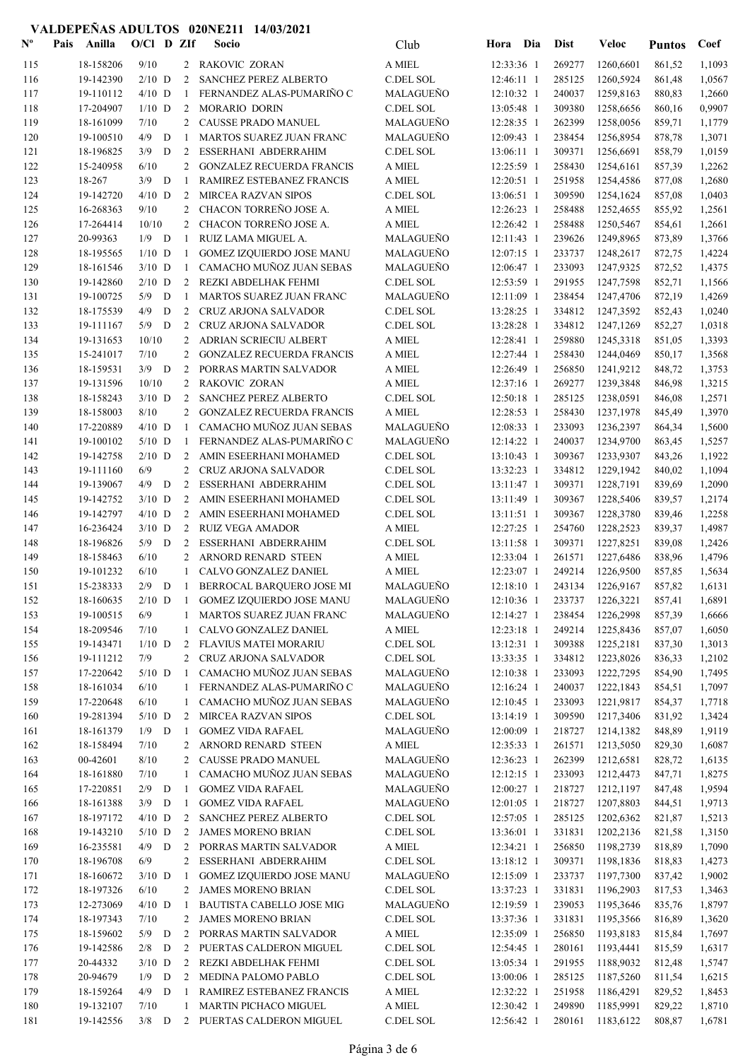| $\mathbf{N}^{\mathbf{o}}$ | Pais | Anilla                 | $O/CI$ D ZIf     |   |                | Socio                                                         | Club                          | Hora Dia                 | <b>Dist</b>      | Veloc                       | <b>Puntos</b>    | Coef             |
|---------------------------|------|------------------------|------------------|---|----------------|---------------------------------------------------------------|-------------------------------|--------------------------|------------------|-----------------------------|------------------|------------------|
| 115                       |      | 18-158206              | 9/10             |   |                | 2 RAKOVIC ZORAN                                               | A MIEL                        | 12:33:36 1               | 269277           | 1260,6601                   | 861,52           | 1,1093           |
| 116                       |      | 19-142390              | $2/10$ D         |   | 2              | <b>SANCHEZ PEREZ ALBERTO</b>                                  | C.DEL SOL                     | 12:46:11 1               | 285125           | 1260,5924                   | 861,48           | 1,0567           |
| 117                       |      | 19-110112              | $4/10$ D         |   | -1             | FERNANDEZ ALAS-PUMARIÑO C                                     | <b>MALAGUENO</b>              | 12:10:32 1               | 240037           | 1259,8163                   | 880,83           | 1,2660           |
| 118                       |      | 17-204907              | $1/10$ D         |   | 2              | MORARIO DORIN                                                 | <b>C.DEL SOL</b>              | 13:05:48 1               | 309380           | 1258,6656                   | 860,16           | 0,9907           |
| 119                       |      | 18-161099              | 7/10             |   | 2              | CAUSSE PRADO MANUEL                                           | MALAGUEÑO                     | 12:28:35 1               | 262399           | 1258,0056                   | 859,71           | 1,1779           |
| 120                       |      | 19-100510              | 4/9              | D | -1             | <b>MARTOS SUAREZ JUAN FRANC</b>                               | MALAGUEÑO                     | 12:09:43 1               | 238454           | 1256,8954                   | 878,78           | 1,3071           |
| 121                       |      | 18-196825              | 3/9              | D | 2              | ESSERHANI ABDERRAHIM                                          | <b>C.DEL SOL</b>              | 13:06:11 1               | 309371           | 1256,6691                   | 858,79           | 1,0159           |
| 122                       |      | 15-240958              | 6/10             |   | 2              | <b>GONZALEZ RECUERDA FRANCIS</b>                              | A MIEL                        | 12:25:59 1               | 258430           | 1254,6161                   | 857,39           | 1,2262           |
| 123<br>124                |      | 18-267<br>19-142720    | 3/9<br>$4/10$ D  | D | -1<br>2        | RAMIREZ ESTEBANEZ FRANCIS<br>MIRCEA RAZVAN SIPOS              | A MIEL<br>C.DEL SOL           | 12:20:51 1<br>13:06:51 1 | 251958<br>309590 | 1254,4586<br>1254,1624      | 877,08           | 1,2680<br>1,0403 |
| 125                       |      | 16-268363              | 9/10             |   | 2              | CHACON TORREÑO JOSE A.                                        | A MIEL                        | 12:26:23 1               | 258488           | 1252,4655                   | 857,08<br>855,92 | 1,2561           |
| 126                       |      | 17-264414              | 10/10            |   | 2              | CHACON TORREÑO JOSE A.                                        | A MIEL                        | 12:26:42 1               | 258488           | 1250,5467                   | 854,61           | 1,2661           |
| 127                       |      | 20-99363               | $1/9$ D          |   | -1             | RUIZ LAMA MIGUEL A.                                           | MALAGUEÑO                     | 12:11:43 1               | 239626           | 1249,8965                   | 873,89           | 1,3766           |
| 128                       |      | 18-195565              | $1/10$ D         |   | -1             | <b>GOMEZ IZQUIERDO JOSE MANU</b>                              | MALAGUEÑO                     | 12:07:15 1               | 233737           | 1248,2617                   | 872,75           | 1,4224           |
| 129                       |      | 18-161546              | $3/10$ D         |   | -1             | CAMACHO MUÑOZ JUAN SEBAS                                      | MALAGUEÑO                     | 12:06:47 1               | 233093           | 1247,9325                   | 872,52           | 1,4375           |
| 130                       |      | 19-142860              | $2/10$ D         |   | 2              | REZKI ABDELHAK FEHMI                                          | <b>C.DEL SOL</b>              | 12:53:59 1               | 291955           | 1247,7598                   | 852,71           | 1,1566           |
| 131                       |      | 19-100725              | 5/9              | D | -1             | <b>MARTOS SUAREZ JUAN FRANC</b>                               | MALAGUEÑO                     | 12:11:09 1               | 238454           | 1247,4706                   | 872,19           | 1,4269           |
| 132                       |      | 18-175539              | 4/9              | D | 2              | <b>CRUZ ARJONA SALVADOR</b>                                   | C.DEL SOL                     | 13:28:25 1               | 334812           | 1247,3592                   | 852,43           | 1,0240           |
| 133                       |      | 19-111167              | 5/9              | D | 2              | CRUZ ARJONA SALVADOR                                          | <b>C.DEL SOL</b>              | 13:28:28 1               | 334812           | 1247,1269                   | 852,27           | 1,0318           |
| 134                       |      | 19-131653              | 10/10            |   | 2              | <b>ADRIAN SCRIECIU ALBERT</b>                                 | A MIEL                        | 12:28:41 1               | 259880           | 1245,3318                   | 851,05           | 1,3393           |
| 135                       |      | 15-241017              | 7/10             |   | 2              | <b>GONZALEZ RECUERDA FRANCIS</b>                              | A MIEL                        | 12:27:44 1               | 258430           | 1244,0469                   | 850,17           | 1,3568           |
| 136                       |      | 18-159531              | $3/9$ D          |   | 2              | PORRAS MARTIN SALVADOR                                        | A MIEL                        | 12:26:49 1               | 256850           | 1241,9212                   | 848,72           | 1,3753           |
| 137                       |      | 19-131596              | 10/10            |   | 2              | RAKOVIC ZORAN                                                 | A MIEL                        | 12:37:16 1               | 269277           | 1239,3848                   | 846,98           | 1,3215           |
| 138                       |      | 18-158243              | $3/10$ D         |   | $\overline{2}$ | <b>SANCHEZ PEREZ ALBERTO</b>                                  | <b>C.DEL SOL</b>              | 12:50:18 1               | 285125           | 1238,0591                   | 846,08           | 1,2571           |
| 139                       |      | 18-158003              | 8/10             |   | 2              | <b>GONZALEZ RECUERDA FRANCIS</b>                              | A MIEL                        | 12:28:53 1               | 258430           | 1237,1978                   | 845,49           | 1,3970           |
| 140                       |      | 17-220889              | $4/10$ D         |   | -1             | CAMACHO MUÑOZ JUAN SEBAS                                      | <b>MALAGUENO</b>              | 12:08:33 1               | 233093           | 1236,2397                   | 864,34           | 1,5600           |
| 141                       |      | 19-100102              | $5/10$ D         |   | -1             | FERNANDEZ ALAS-PUMARIÑO C                                     | MALAGUEÑO                     | 12:14:22 1               | 240037           | 1234,9700                   | 863,45           | 1,5257           |
| 142<br>143                |      | 19-142758<br>19-111160 | $2/10$ D<br>6/9  |   | 2<br>2         | AMIN ESEERHANI MOHAMED<br>CRUZ ARJONA SALVADOR                | <b>C.DEL SOL</b><br>C.DEL SOL | 13:10:43 1<br>13:32:23 1 | 309367<br>334812 | 1233,9307<br>1229,1942      | 843,26           | 1,1922<br>1,1094 |
| 144                       |      | 19-139067              | 4/9              | D | 2              | ESSERHANI ABDERRAHIM                                          | <b>C.DEL SOL</b>              | 13:11:47 1               | 309371           | 1228,7191                   | 840,02<br>839,69 | 1,2090           |
| 145                       |      | 19-142752              | $3/10$ D         |   | $\overline{2}$ | AMIN ESEERHANI MOHAMED                                        | <b>C.DEL SOL</b>              | 13:11:49 1               | 309367           | 1228,5406                   | 839,57           | 1,2174           |
| 146                       |      | 19-142797              | $4/10$ D         |   | 2              | AMIN ESEERHANI MOHAMED                                        | C.DEL SOL                     | 13:11:51 1               | 309367           | 1228,3780                   | 839,46           | 1,2258           |
| 147                       |      | 16-236424              | $3/10$ D         |   | 2              | <b>RUIZ VEGA AMADOR</b>                                       | A MIEL                        | 12:27:25 1               | 254760           | 1228,2523                   | 839,37           | 1,4987           |
| 148                       |      | 18-196826              | $5/9$ D          |   | 2              | ESSERHANI ABDERRAHIM                                          | C.DEL SOL                     | 13:11:58 1               | 309371           | 1227,8251                   | 839,08           | 1,2426           |
| 149                       |      | 18-158463              | 6/10             |   | 2              | ARNORD RENARD STEEN                                           | A MIEL                        | 12:33:04 1               | 261571           | 1227,6486                   | 838,96           | 1,4796           |
| 150                       |      | 19-101232              | 6/10             |   | -1             | CALVO GONZALEZ DANIEL                                         | A MIEL                        | 12:23:07 1               | 249214           | 1226,9500                   | 857,85           | 1,5634           |
| 151                       |      | 15-238333              | $2/9$ D          |   | -1             | BERROCAL BARQUERO JOSE MI                                     | MALAGUEÑO                     | 12:18:10 1               | 243134           | 1226,9167                   | 857,82           | 1,6131           |
| 152                       |      | 18-160635              |                  |   |                | 2/10 D 1 GOMEZ IZQUIERDO JOSE MANU                            | MALAGUEÑO                     |                          |                  | 12:10:36 1 233737 1226,3221 | 857,41           | 1,6891           |
| 153                       |      | 19-100515              | 6/9              |   | $\mathbf{1}$   | MARTOS SUAREZ JUAN FRANC                                      | MALAGUEÑO                     | $12:14:27$ 1             | 238454           | 1226,2998                   | 857,39           | 1,6666           |
| 154                       |      | 18-209546              | 7/10             |   | 1              | CALVO GONZALEZ DANIEL                                         | A MIEL                        | $12:23:18$ 1             | 249214           | 1225,8436                   | 857,07           | 1,6050           |
| 155                       |      | 19-143471              | $1/10$ D         |   | 2              | FLAVIUS MATEI MORARIU                                         | C.DEL SOL                     | 13:12:31 1               | 309388           | 1225,2181                   | 837,30           | 1,3013           |
| 156                       |      | 19-111212              | 7/9              |   |                | 2 CRUZ ARJONA SALVADOR                                        | C.DEL SOL                     | 13:33:35 1               | 334812           | 1223,8026                   | 836,33           | 1,2102           |
| 157                       |      | 17-220642              | $5/10$ D         |   | -1             | CAMACHO MUÑOZ JUAN SEBAS                                      | MALAGUEÑO                     | 12:10:38 1               | 233093           | 1222,7295                   | 854,90           | 1,7495           |
| 158                       |      | 18-161034              | 6/10             |   | -1             | FERNANDEZ ALAS-PUMARIÑO C                                     | MALAGUEÑO                     | 12:16:24 1               | 240037           | 1222,1843                   | 854,51           | 1,7097           |
| 159                       |      | 17-220648<br>19-281394 | 6/10<br>$5/10$ D |   | $\mathbf{1}$   | CAMACHO MUÑOZ JUAN SEBAS<br><b>MIRCEA RAZVAN SIPOS</b>        | MALAGUEÑO<br>C.DEL SOL        | $12:10:45$ 1             | 233093<br>309590 | 1221,9817<br>1217,3406      | 854,37           | 1,7718           |
| 160<br>161                |      | 18-161379              | $1/9$ D          |   | 2<br>-1        | <b>GOMEZ VIDA RAFAEL</b>                                      | MALAGUEÑO                     | 13:14:19 1<br>12:00:09 1 | 218727           | 1214,1382                   | 831,92<br>848,89 | 1,3424<br>1,9119 |
| 162                       |      | 18-158494              | 7/10             |   | 2              | ARNORD RENARD STEEN                                           | A MIEL                        | 12:35:33 1               | 261571           | 1213,5050                   | 829,30           | 1,6087           |
| 163                       |      | 00-42601               | 8/10             |   | 2              | CAUSSE PRADO MANUEL                                           | MALAGUEÑO                     | 12:36:23 1               | 262399           | 1212,6581                   | 828,72           | 1,6135           |
| 164                       |      | 18-161880              | 7/10             |   | 1              | CAMACHO MUÑOZ JUAN SEBAS                                      | MALAGUEÑO                     | 12:12:15 1               | 233093           | 1212,4473                   | 847,71           | 1,8275           |
| 165                       |      | 17-220851              | $2/9$ D          |   | -1             | <b>GOMEZ VIDA RAFAEL</b>                                      | MALAGUEÑO                     | 12:00:27 1               | 218727           | 1212,1197                   | 847,48           | 1,9594           |
| 166                       |      | 18-161388              | $3/9$ D          |   | -1             | <b>GOMEZ VIDA RAFAEL</b>                                      | MALAGUEÑO                     | 12:01:05 1               | 218727           | 1207,8803                   | 844,51           | 1,9713           |
| 167                       |      | 18-197172              | $4/10$ D         |   | 2              | SANCHEZ PEREZ ALBERTO                                         | C.DEL SOL                     | 12:57:05 1               | 285125           | 1202,6362                   | 821,87           | 1,5213           |
| 168                       |      | 19-143210              | $5/10$ D         |   | 2              | <b>JAMES MORENO BRIAN</b>                                     | C.DEL SOL                     | 13:36:01 1               | 331831           | 1202,2136                   | 821,58           | 1,3150           |
| 169                       |      | 16-235581              | $4/9$ D          |   | $\overline{2}$ | PORRAS MARTIN SALVADOR                                        | A MIEL                        | 12:34:21 1               | 256850           | 1198,2739                   | 818,89           | 1,7090           |
| 170                       |      | 18-196708              | 6/9              |   | 2              | ESSERHANI ABDERRAHIM                                          | C.DEL SOL                     | 13:18:12 1               | 309371           | 1198,1836                   | 818,83           | 1,4273           |
| 171                       |      | 18-160672              | $3/10$ D         |   | -1             | GOMEZ IZQUIERDO JOSE MANU                                     | MALAGUEÑO                     | 12:15:09 1               | 233737           | 1197,7300                   | 837,42           | 1,9002           |
| 172                       |      | 18-197326              | 6/10             |   | 2              | <b>JAMES MORENO BRIAN</b>                                     | C.DEL SOL                     | 13:37:23 1               | 331831           | 1196,2903                   | 817,53           | 1,3463           |
| 173                       |      | 12-273069              | $4/10$ D<br>7/10 |   | -1             | <b>BAUTISTA CABELLO JOSE MIG</b><br><b>JAMES MORENO BRIAN</b> | MALAGUEÑO                     | 12:19:59 1               | 239053<br>331831 | 1195,3646                   | 835,76           | 1,8797           |
| 174<br>175                |      | 18-197343<br>18-159602 | $5/9$ D          |   | 2<br>2         | PORRAS MARTIN SALVADOR                                        | C.DEL SOL<br>A MIEL           | 13:37:36 1<br>12:35:09 1 | 256850           | 1195,3566<br>1193,8183      | 816,89<br>815,84 | 1,3620<br>1,7697 |
| 176                       |      | 19-142586              | $2/8$ D          |   | 2              | PUERTAS CALDERON MIGUEL                                       | $\operatorname{C.DEL}$ SOL    | 12:54:45 1               | 280161           | 1193,4441                   | 815,59           | 1,6317           |
| 177                       |      | 20-44332               | $3/10$ D         |   | 2              | REZKI ABDELHAK FEHMI                                          | C.DEL SOL                     | 13:05:34 1               | 291955           | 1188,9032                   | 812,48           | 1,5747           |
| 178                       |      | 20-94679               | $1/9$ D          |   | 2              | MEDINA PALOMO PABLO                                           | C.DEL SOL                     | 13:00:06 1               | 285125           | 1187,5260                   | 811,54           | 1,6215           |
| 179                       |      | 18-159264              | 4/9              | D | -1             | RAMIREZ ESTEBANEZ FRANCIS                                     | A MIEL                        | 12:32:22 1               | 251958           | 1186,4291                   | 829,52           | 1,8453           |
| 180                       |      | 19-132107              | 7/10             |   | 1              | MARTIN PICHACO MIGUEL                                         | A MIEL                        | 12:30:42 1               | 249890           | 1185,9991                   | 829,22           | 1,8710           |
| 181                       |      | 19-142556              | $3/8$ D          |   |                | 2 PUERTAS CALDERON MIGUEL                                     | C.DEL SOL                     | 12:56:42 1               | 280161           | 1183,6122                   | 808,87           | 1,6781           |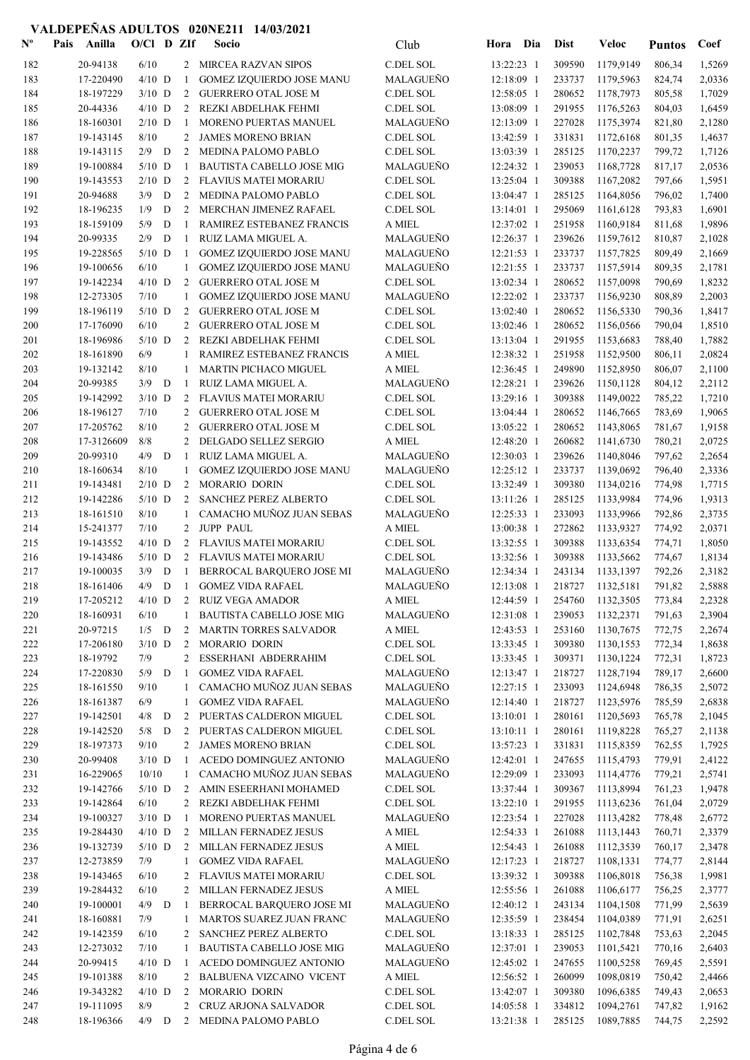| $\mathbf{N}^{\mathbf{o}}$ | Pais | Anilla                 | O/Cl D ZIf           |   |              | Socio                                                       | Club                   | Hora Dia                     | <b>Dist</b>      | <b>Veloc</b>                | <b>Puntos</b>    | Coef             |
|---------------------------|------|------------------------|----------------------|---|--------------|-------------------------------------------------------------|------------------------|------------------------------|------------------|-----------------------------|------------------|------------------|
| 182                       |      | 20-94138               | 6/10                 |   |              | 2 MIRCEA RAZVAN SIPOS                                       | C.DEL SOL              | 13:22:23 1                   | 309590           | 1179,9149                   | 806,34           | 1,5269           |
| 183                       |      | 17-220490              | $4/10$ D             |   | -1           | <b>GOMEZ IZQUIERDO JOSE MANU</b>                            | MALAGUEÑO              | 12:18:09 1                   | 233737           | 1179,5963                   | 824,74           | 2,0336           |
| 184                       |      | 18-197229              | $3/10$ D             |   | 2            | <b>GUERRERO OTAL JOSE M</b>                                 | C.DEL SOL              | 12:58:05 1                   | 280652           | 1178,7973                   | 805,58           | 1,7029           |
| 185                       |      | 20-44336               | $4/10$ D             |   |              | 2 REZKI ABDELHAK FEHMI                                      | C.DEL SOL              | 13:08:09 1                   | 291955           | 1176,5263                   | 804,03           | 1,6459           |
| 186                       |      | 18-160301              | $2/10$ D             |   | -1           | MORENO PUERTAS MANUEL                                       | MALAGUEÑO              | 12:13:09 1                   | 227028           | 1175,3974                   | 821,80           | 2,1280           |
| 187                       |      | 19-143145              | 8/10                 |   | 2            | <b>JAMES MORENO BRIAN</b>                                   | C.DEL SOL              | 13:42:59 1                   | 331831           | 1172,6168                   | 801,35           | 1,4637           |
| 188                       |      | 19-143115              | 2/9                  | D | 2            | MEDINA PALOMO PABLO                                         | C.DEL SOL              | 13:03:39 1                   | 285125           | 1170,2237                   | 799,72           | 1,7126           |
| 189<br>190                |      | 19-100884<br>19-143553 | $5/10$ D<br>$2/10$ D |   | -1           | <b>BAUTISTA CABELLO JOSE MIG</b><br>2 FLAVIUS MATEI MORARIU | MALAGUEÑO<br>C.DEL SOL | 12:24:32 1<br>13:25:04 1     | 239053<br>309388 | 1168,7728<br>1167,2082      | 817,17<br>797,66 | 2,0536<br>1,5951 |
| 191                       |      | 20-94688               | 3/9                  | D | 2            | <b>MEDINA PALOMO PABLO</b>                                  | C.DEL SOL              | 13:04:47 1                   | 285125           | 1164,8056                   | 796,02           | 1,7400           |
| 192                       |      | 18-196235              | 1/9                  | D | 2            | <b>MERCHAN JIMENEZ RAFAEL</b>                               | C.DEL SOL              | $13:14:01$ 1                 | 295069           | 1161,6128                   | 793,83           | 1,6901           |
| 193                       |      | 18-159109              | 5/9                  | D | $\mathbf{1}$ | RAMIREZ ESTEBANEZ FRANCIS                                   | A MIEL                 | 12:37:02 1                   | 251958           | 1160,9184                   | 811,68           | 1,9896           |
| 194                       |      | 20-99335               | 2/9                  | D | -1           | RUIZ LAMA MIGUEL A.                                         | MALAGUEÑO              | 12:26:37 1                   | 239626           | 1159,7612                   | 810,87           | 2,1028           |
| 195                       |      | 19-228565              | $5/10$ D             |   | -1           | <b>GOMEZ IZQUIERDO JOSE MANU</b>                            | MALAGUEÑO              | 12:21:53 1                   | 233737           | 1157,7825                   | 809,49           | 2,1669           |
| 196                       |      | 19-100656              | 6/10                 |   | $\mathbf{1}$ | <b>GOMEZ IZQUIERDO JOSE MANU</b>                            | MALAGUEÑO              | 12:21:55 1                   | 233737           | 1157,5914                   | 809,35           | 2,1781           |
| 197                       |      | 19-142234              | $4/10$ D             |   | 2            | <b>GUERRERO OTAL JOSE M</b>                                 | C.DEL SOL              | 13:02:34 1                   | 280652           | 1157,0098                   | 790,69           | 1,8232           |
| 198                       |      | 12-273305              | 7/10                 |   | 1            | <b>GOMEZ IZQUIERDO JOSE MANU</b>                            | MALAGUEÑO              | 12:22:02 1                   | 233737           | 1156,9230                   | 808,89           | 2,2003           |
| 199                       |      | 18-196119              | $5/10$ D             |   | 2            | <b>GUERRERO OTAL JOSE M</b>                                 | C.DEL SOL              | 13:02:40 1                   | 280652           | 1156,5330                   | 790,36           | 1,8417           |
| 200                       |      | 17-176090              | 6/10                 |   | 2            | <b>GUERRERO OTAL JOSE M</b>                                 | C.DEL SOL              | 13:02:46 1                   | 280652           | 1156,0566                   | 790,04           | 1,8510           |
| 201<br>202                |      | 18-196986<br>18-161890 | $5/10$ D<br>6/9      |   | 2            | REZKI ABDELHAK FEHMI<br>RAMIREZ ESTEBANEZ FRANCIS           | C.DEL SOL<br>A MIEL    | 13:13:04 1<br>12:38:32 1     | 291955<br>251958 | 1153,6683<br>1152,9500      | 788,40           | 1,7882<br>2,0824 |
| 203                       |      | 19-132142              | 8/10                 |   | 1            | <b>MARTIN PICHACO MIGUEL</b>                                | A MIEL                 | 12:36:45 1                   | 249890           | 1152,8950                   | 806,11<br>806,07 | 2,1100           |
| 204                       |      | 20-99385               | 3/9                  | D | -1           | RUIZ LAMA MIGUEL A.                                         | MALAGUEÑO              | 12:28:21 1                   | 239626           | 1150,1128                   | 804,12           | 2,2112           |
| 205                       |      | 19-142992              | $3/10$ D             |   | 2            | FLAVIUS MATEI MORARIU                                       | C.DEL SOL              | 13:29:16 1                   | 309388           | 1149,0022                   | 785,22           | 1,7210           |
| 206                       |      | 18-196127              | 7/10                 |   | 2            | <b>GUERRERO OTAL JOSE M</b>                                 | C.DEL SOL              | 13:04:44 1                   | 280652           | 1146,7665                   | 783,69           | 1,9065           |
| 207                       |      | 17-205762              | 8/10                 |   | 2            | <b>GUERRERO OTAL JOSE M</b>                                 | C.DEL SOL              | 13:05:22 1                   | 280652           | 1143,8065                   | 781,67           | 1,9158           |
| 208                       |      | 17-3126609             | 8/8                  |   | 2            | DELGADO SELLEZ SERGIO                                       | A MIEL                 | 12:48:20 1                   | 260682           | 1141,6730                   | 780,21           | 2,0725           |
| 209                       |      | 20-99310               | 4/9                  | D | -1           | RUIZ LAMA MIGUEL A.                                         | MALAGUEÑO              | 12:30:03 1                   | 239626           | 1140,8046                   | 797,62           | 2,2654           |
| 210                       |      | 18-160634              | 8/10                 |   | 1            | <b>GOMEZ IZQUIERDO JOSE MANU</b>                            | MALAGUEÑO              | 12:25:12 1                   | 233737           | 1139,0692                   | 796,40           | 2,3336           |
| 211                       |      | 19-143481              | $2/10$ D             |   | 2            | MORARIO DORIN                                               | C.DEL SOL              | 13:32:49 1                   | 309380           | 1134,0216                   | 774,98           | 1,7715           |
| 212                       |      | 19-142286              | $5/10$ D             |   | 2            | SANCHEZ PEREZ ALBERTO                                       | C.DEL SOL              | 13:11:26 1                   | 285125           | 1133,9984                   | 774,96           | 1,9313           |
| 213                       |      | 18-161510              | 8/10                 |   | 1            | CAMACHO MUÑOZ JUAN SEBAS                                    | MALAGUEÑO              | 12:25:33 1                   | 233093           | 1133,9966                   | 792,86           | 2,3735           |
| 214<br>215                |      | 15-241377<br>19-143552 | 7/10<br>$4/10$ D     |   |              | 2 JUPP PAUL<br>2 FLAVIUS MATEI MORARIU                      | A MIEL<br>C.DEL SOL    | 13:00:38 1<br>13:32:55 1     | 272862<br>309388 | 1133,9327<br>1133,6354      | 774,92<br>774,71 | 2,0371<br>1,8050 |
| 216                       |      | 19-143486              | $5/10$ D             |   |              | 2 FLAVIUS MATEI MORARIU                                     | C.DEL SOL              | 13:32:56 1                   | 309388           | 1133,5662                   | 774,67           | 1,8134           |
| 217                       |      | 19-100035              | 3/9                  | D | $\mathbf{1}$ | BERROCAL BARQUERO JOSE MI                                   | MALAGUEÑO              | 12:34:34 1                   | 243134           | 1133,1397                   | 792,26           | 2,3182           |
| 218                       |      | 18-161406              | 4/9                  | D | -1           | <b>GOMEZ VIDA RAFAEL</b>                                    | MALAGUEÑO              | 12:13:08 1                   | 218727           | 1132,5181                   | 791,82           | 2,5888           |
| 219                       |      | 17-205212              | $4/10$ D             |   |              | 2 RUIZ VEGA AMADOR                                          | $\mathbf A$ MIEL       |                              |                  | 12:44:59 1 254760 1132,3505 | 773,84           | 2,2328           |
| 220                       |      | 18-160931              | 6/10                 |   | 1            | <b>BAUTISTA CABELLO JOSE MIG</b>                            | MALAGUEÑO              | 12:31:08 1                   | 239053           | 1132,2371                   | 791,63           | 2,3904           |
| 221                       |      | 20-97215               | $1/5$ D              |   | 2            | <b>MARTIN TORRES SALVADOR</b>                               | $\mathcal A$ MIEL      | 12:43:53 1                   | 253160           | 1130,7675                   | 772,75           | 2,2674           |
| 222                       |      | 17-206180              | $3/10$ D             |   | 2            | MORARIO DORIN                                               | C.DEL SOL              | 13:33:45 1                   | 309380           | 1130,1553                   | 772,34           | 1,8638           |
| 223                       |      | 18-19792               | 7/9                  |   | 2            | ESSERHANI ABDERRAHIM                                        | C.DEL SOL              | 13:33:45 1                   | 309371           | 1130,1224                   | 772,31           | 1,8723           |
| 224                       |      | 17-220830              | 5/9                  | D | -1           | <b>GOMEZ VIDA RAFAEL</b>                                    | MALAGUEÑO              | 12:13:47 1                   | 218727           | 1128,7194                   | 789,17           | 2,6600           |
| 225                       |      | 18-161550<br>18-161387 | 9/10<br>6/9          |   | 1            | CAMACHO MUÑOZ JUAN SEBAS<br><b>GOMEZ VIDA RAFAEL</b>        | MALAGUEÑO<br>MALAGUEÑO | $12:27:15$ 1<br>$12:14:40$ 1 | 233093<br>218727 | 1124,6948                   | 786,35           | 2,5072           |
| 226<br>227                |      | 19-142501              | 4/8                  | D | 1<br>2       | PUERTAS CALDERON MIGUEL                                     | C.DEL SOL              | 13:10:01 1                   | 280161           | 1123,5976<br>1120,5693      | 785,59<br>765,78 | 2,6838<br>2,1045 |
| 228                       |      | 19-142520              | $5/8$ D              |   | 2            | PUERTAS CALDERON MIGUEL                                     | C.DEL SOL              | 13:10:11 1                   | 280161           | 1119,8228                   | 765,27           | 2,1138           |
| 229                       |      | 18-197373              | 9/10                 |   | 2            | <b>JAMES MORENO BRIAN</b>                                   | C.DEL SOL              | 13:57:23 1                   | 331831           | 1115,8359                   | 762,55           | 1,7925           |
| 230                       |      | 20-99408               | $3/10$ D             |   | -1           | ACEDO DOMINGUEZ ANTONIO                                     | MALAGUEÑO              | 12:42:01 1                   | 247655           | 1115,4793                   | 779,91           | 2,4122           |
| 231                       |      | 16-229065              | 10/10                |   | 1            | CAMACHO MUÑOZ JUAN SEBAS                                    | MALAGUEÑO              | 12:29:09 1                   | 233093           | 1114,4776                   | 779,21           | 2,5741           |
| 232                       |      | 19-142766              | $5/10$ D             |   | 2            | AMIN ESEERHANI MOHAMED                                      | C.DEL SOL              | 13:37:44 1                   | 309367           | 1113,8994                   | 761,23           | 1,9478           |
| 233                       |      | 19-142864              | 6/10                 |   | 2            | REZKI ABDELHAK FEHMI                                        | C.DEL SOL              | 13:22:10 1                   | 291955           | 1113,6236                   | 761,04           | 2,0729           |
| 234                       |      | 19-100327              | $3/10$ D             |   | -1           | MORENO PUERTAS MANUEL                                       | MALAGUEÑO              | 12:23:54 1                   | 227028           | 1113,4282                   | 778,48           | 2,6772           |
| 235                       |      | 19-284430              | $4/10$ D             |   | 2            | MILLAN FERNADEZ JESUS                                       | A MIEL                 | 12:54:33 1                   | 261088           | 1113,1443                   | 760,71           | 2,3379           |
| 236<br>237                |      | 19-132739<br>12-273859 | $5/10$ D<br>7/9      |   | 2<br>1       | MILLAN FERNADEZ JESUS<br><b>GOMEZ VIDA RAFAEL</b>           | A MIEL<br>MALAGUEÑO    | 12:54:43 1<br>12:17:23 1     | 261088<br>218727 | 1112,3539<br>1108,1331      | 760,17<br>774,77 | 2,3478<br>2,8144 |
| 238                       |      | 19-143465              | 6/10                 |   | 2            | FLAVIUS MATEI MORARIU                                       | C.DEL SOL              | 13:39:32 1                   | 309388           | 1106,8018                   | 756,38           | 1,9981           |
| 239                       |      | 19-284432              | 6/10                 |   | $\mathbf{2}$ | MILLAN FERNADEZ JESUS                                       | A MIEL                 | 12:55:56 1                   | 261088           | 1106,6177                   | 756,25           | 2,3777           |
| 240                       |      | 19-100001              | $4/9$ D              |   | -1           | BERROCAL BARQUERO JOSE MI                                   | MALAGUEÑO              | 12:40:12 1                   | 243134           | 1104,1508                   | 771,99           | 2,5639           |
| 241                       |      | 18-160881              | 7/9                  |   | $\mathbf{1}$ | MARTOS SUAREZ JUAN FRANC                                    | MALAGUEÑO              | 12:35:59 1                   | 238454           | 1104,0389                   | 771,91           | 2,6251           |
| 242                       |      | 19-142359              | 6/10                 |   | 2            | SANCHEZ PEREZ ALBERTO                                       | C.DEL SOL              | 13:18:33 1                   | 285125           | 1102,7848                   | 753,63           | 2,2045           |
| 243                       |      | 12-273032              | 7/10                 |   | 1            | BAUTISTA CABELLO JOSE MIG                                   | MALAGUEÑO              | 12:37:01 1                   | 239053           | 1101,5421                   | 770,16           | 2,6403           |
| 244                       |      | 20-99415               | $4/10$ D             |   | -1           | ACEDO DOMINGUEZ ANTONIO                                     | MALAGUEÑO              | 12:45:02 1                   | 247655           | 1100,5258                   | 769,45           | 2,5591           |
| 245                       |      | 19-101388              | 8/10                 |   | 2            | BALBUENA VIZCAINO VICENT                                    | A MIEL                 | 12:56:52 1                   | 260099           | 1098,0819                   | 750,42           | 2,4466           |
| 246                       |      | 19-343282              | $4/10$ D             |   | 2            | MORARIO DORIN                                               | C.DEL SOL              | 13:42:07 1                   | 309380           | 1096,6385                   | 749,43           | 2,0653           |
| 247                       |      | 19-111095              | 8/9                  |   | 2            | <b>CRUZ ARJONA SALVADOR</b>                                 | C.DEL SOL              | 14:05:58 1                   | 334812           | 1094,2761                   | 747,82           | 1,9162           |
| 248                       |      | 18-196366              | 4/9                  | D | $\mathbf{2}$ | MEDINA PALOMO PABLO                                         | C.DEL SOL              | 13:21:38 1                   | 285125           | 1089,7885                   | 744,75           | 2,2592           |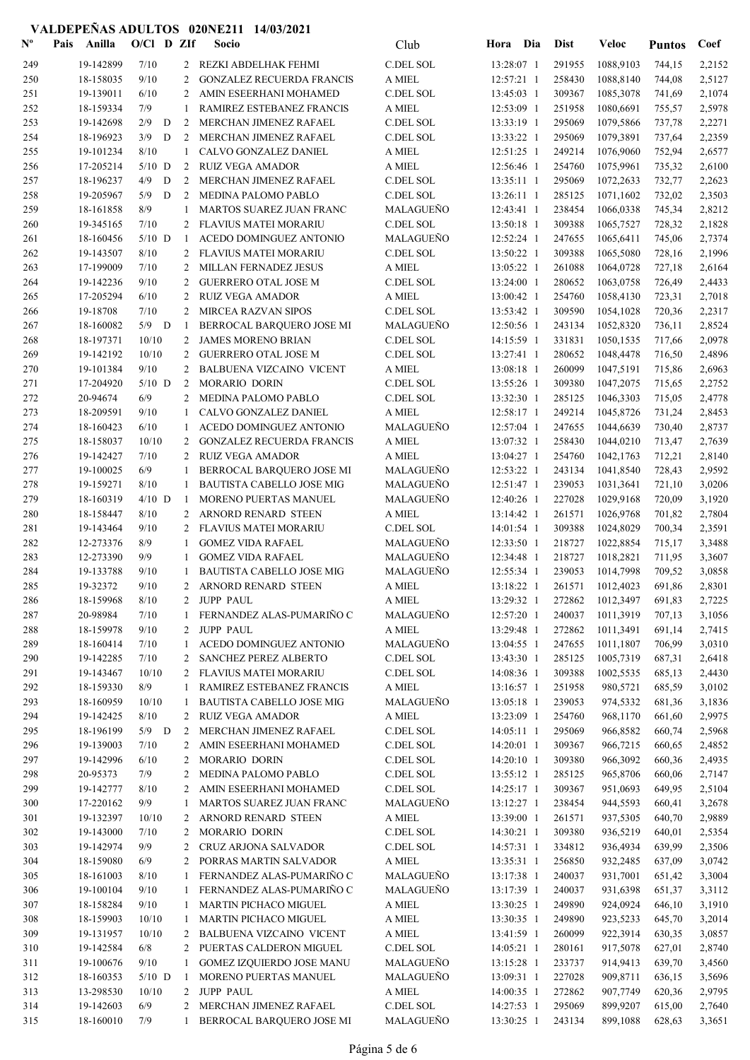| $\mathbf{N}^{\mathbf{o}}$ | Pais | Anilla    | $O/Cl$ D ZIf |   |    | Socio                            | Club                       | Hora Dia     | <b>Dist</b> | Veloc                       | <b>Puntos</b> | Coef   |
|---------------------------|------|-----------|--------------|---|----|----------------------------------|----------------------------|--------------|-------------|-----------------------------|---------------|--------|
| 249                       |      | 19-142899 | 7/10         |   |    | 2 REZKI ABDELHAK FEHMI           | C.DEL SOL                  | 13:28:07 1   | 291955      | 1088,9103                   | 744,15        | 2,2152 |
| 250                       |      | 18-158035 | 9/10         |   | 2  | <b>GONZALEZ RECUERDA FRANCIS</b> | A MIEL                     | $12:57:21$ 1 | 258430      | 1088,8140                   | 744,08        | 2,5127 |
| 251                       |      | 19-139011 | 6/10         |   | 2  | AMIN ESEERHANI MOHAMED           | C.DEL SOL                  | 13:45:03 1   | 309367      | 1085,3078                   | 741,69        | 2,1074 |
| 252                       |      | 18-159334 | 7/9          |   | 1  | RAMIREZ ESTEBANEZ FRANCIS        | A MIEL                     | 12:53:09 1   | 251958      | 1080,6691                   | 755,57        | 2,5978 |
| 253                       |      | 19-142698 | 2/9          | D | 2  | MERCHAN JIMENEZ RAFAEL           | C.DEL SOL                  | 13:33:19 1   | 295069      | 1079,5866                   | 737,78        | 2,2271 |
| 254                       |      | 18-196923 | 3/9          | D | 2  | MERCHAN JIMENEZ RAFAEL           | C.DEL SOL                  | 13:33:22 1   | 295069      | 1079,3891                   | 737,64        | 2,2359 |
| 255                       |      | 19-101234 | 8/10         |   | 1  | CALVO GONZALEZ DANIEL            | A MIEL                     | $12:51:25$ 1 | 249214      | 1076,9060                   | 752,94        | 2,6577 |
| 256                       |      | 17-205214 | $5/10$ D     |   |    | 2 RUIZ VEGA AMADOR               | A MIEL                     | 12:56:46 1   | 254760      | 1075,9961                   | 735,32        | 2,6100 |
| 257                       |      | 18-196237 | 4/9          | D | 2  | MERCHAN JIMENEZ RAFAEL           | C.DEL SOL                  | 13:35:11 1   | 295069      | 1072,2633                   | 732,77        | 2,2623 |
| 258                       |      | 19-205967 | 5/9          | D | 2  | MEDINA PALOMO PABLO              | C.DEL SOL                  | $13:26:11$ 1 | 285125      | 1071,1602                   | 732,02        | 2,3503 |
| 259                       |      | 18-161858 | 8/9          |   | 1  | MARTOS SUAREZ JUAN FRANC         | MALAGUEÑO                  | 12:43:41 1   | 238454      | 1066,0338                   | 745,34        | 2,8212 |
| 260                       |      | 19-345165 | 7/10         |   | 2  | FLAVIUS MATEI MORARIU            | C.DEL SOL                  | 13:50:18 1   | 309388      | 1065,7527                   | 728,32        | 2,1828 |
| 261                       |      | 18-160456 | $5/10$ D     |   | -1 | ACEDO DOMINGUEZ ANTONIO          | MALAGUEÑO                  | 12:52:24 1   | 247655      | 1065,6411                   | 745,06        | 2,7374 |
| 262                       |      | 19-143507 | 8/10         |   | 2  | <b>FLAVIUS MATEI MORARIU</b>     | C.DEL SOL                  | 13:50:22 1   | 309388      | 1065,5080                   | 728,16        | 2,1996 |
| 263                       |      | 17-199009 | 7/10         |   | 2  | MILLAN FERNADEZ JESUS            | A MIEL                     | 13:05:22 1   | 261088      | 1064,0728                   | 727,18        | 2,6164 |
| 264                       |      | 19-142236 | 9/10         |   | 2  | <b>GUERRERO OTAL JOSE M</b>      | C.DEL SOL                  | 13:24:00 1   | 280652      | 1063,0758                   | 726,49        | 2,4433 |
| 265                       |      | 17-205294 | 6/10         |   | 2  | <b>RUIZ VEGA AMADOR</b>          | A MIEL                     | 13:00:42 1   | 254760      | 1058,4130                   | 723,31        | 2,7018 |
| 266                       |      | 19-18708  | 7/10         |   | 2  | MIRCEA RAZVAN SIPOS              | C.DEL SOL                  | 13:53:42 1   | 309590      | 1054,1028                   | 720,36        | 2,2317 |
| 267                       |      | 18-160082 | $5/9$ D      |   | -1 | BERROCAL BARQUERO JOSE MI        | MALAGUEÑO                  | 12:50:56 1   | 243134      | 1052,8320                   | 736,11        | 2,8524 |
| 268                       |      | 18-197371 | 10/10        |   | 2  | <b>JAMES MORENO BRIAN</b>        | C.DEL SOL                  | 14:15:59 1   | 331831      | 1050,1535                   | 717,66        | 2,0978 |
| 269                       |      | 19-142192 | 10/10        |   | 2  | <b>GUERRERO OTAL JOSE M</b>      | C.DEL SOL                  | 13:27:41 1   | 280652      | 1048,4478                   | 716,50        | 2,4896 |
| 270                       |      | 19-101384 | 9/10         |   | 2  | <b>BALBUENA VIZCAINO VICENT</b>  | A MIEL                     | 13:08:18 1   | 260099      | 1047,5191                   | 715,86        | 2,6963 |
| 271                       |      | 17-204920 | $5/10$ D     |   | 2  | MORARIO DORIN                    | C.DEL SOL                  | 13:55:26 1   | 309380      | 1047,2075                   | 715,65        | 2,2752 |
| 272                       |      | 20-94674  | 6/9          |   | 2  | MEDINA PALOMO PABLO              | C.DEL SOL                  | 13:32:30 1   | 285125      | 1046,3303                   | 715,05        | 2,4778 |
| 273                       |      | 18-209591 | 9/10         |   | 1  | CALVO GONZALEZ DANIEL            | A MIEL                     | $12:58:17$ 1 | 249214      | 1045,8726                   | 731,24        | 2,8453 |
| 274                       |      | 18-160423 | 6/10         |   | 1  | ACEDO DOMINGUEZ ANTONIO          | MALAGUEÑO                  | 12:57:04 1   | 247655      | 1044,6639                   | 730,40        | 2,8737 |
| 275                       |      | 18-158037 | 10/10        |   | 2  | <b>GONZALEZ RECUERDA FRANCIS</b> | A MIEL                     | 13:07:32 1   | 258430      | 1044,0210                   | 713,47        | 2,7639 |
| 276                       |      | 19-142427 | 7/10         |   | 2  | <b>RUIZ VEGA AMADOR</b>          | A MIEL                     | 13:04:27 1   | 254760      | 1042,1763                   | 712,21        | 2,8140 |
| 277                       |      | 19-100025 | 6/9          |   | 1  | BERROCAL BARQUERO JOSE MI        | MALAGUEÑO                  | 12:53:22 1   | 243134      | 1041,8540                   | 728,43        | 2,9592 |
| 278                       |      | 19-159271 | 8/10         |   | 1  | BAUTISTA CABELLO JOSE MIG        | MALAGUEÑO                  | 12:51:47 1   | 239053      | 1031,3641                   | 721,10        | 3,0206 |
| 279                       |      | 18-160319 | $4/10$ D     |   | -1 | MORENO PUERTAS MANUEL            | MALAGUEÑO                  | 12:40:26 1   | 227028      | 1029,9168                   | 720,09        | 3,1920 |
| 280                       |      | 18-158447 | 8/10         |   | 2  | ARNORD RENARD STEEN              | A MIEL                     | 13:14:42 1   | 261571      | 1026,9768                   | 701,82        | 2,7804 |
| 281                       |      | 19-143464 | 9/10         |   |    | FLAVIUS MATEI MORARIU            | C.DEL SOL                  | 14:01:54 1   | 309388      | 1024,8029                   | 700,34        | 2,3591 |
| 282                       |      | 12-273376 | 8/9          |   | 1  | <b>GOMEZ VIDA RAFAEL</b>         | MALAGUEÑO                  | 12:33:50 1   | 218727      | 1022,8854                   | 715,17        | 3,3488 |
| 283                       |      | 12-273390 | 9/9          |   | -1 | <b>GOMEZ VIDA RAFAEL</b>         | MALAGUEÑO                  | 12:34:48 1   | 218727      | 1018,2821                   | 711,95        | 3,3607 |
| 284                       |      | 19-133788 | 9/10         |   | 1  | <b>BAUTISTA CABELLO JOSE MIG</b> | MALAGUEÑO                  | 12:55:34 1   | 239053      | 1014,7998                   | 709,52        | 3,0858 |
| 285                       |      | 19-32372  | 9/10         |   |    | 2 ARNORD RENARD STEEN            | A MIEL                     | 13:18:22 1   | 261571      | 1012,4023                   | 691,86        | 2,8301 |
| 286                       |      | 18-159968 | $8/10$       |   |    | 2 JUPP PAUL                      | $\mathbf A$ MIEL           |              |             | 13:29:32 1 272862 1012,3497 | 691,83        | 2,7225 |
| 287                       |      | 20-98984  | 7/10         |   | 1  | FERNANDEZ ALAS-PUMARIÑO C        | MALAGUEÑO                  | 12:57:20 1   | 240037      | 1011,3919                   | 707,13        | 3,1056 |
| 288                       |      | 18-159978 | 9/10         |   | 2  | <b>JUPP PAUL</b>                 | A MIEL                     | 13:29:48 1   | 272862      | 1011,3491                   | 691,14        | 2,7415 |
| 289                       |      | 18-160414 | 7/10         |   | 1  | ACEDO DOMINGUEZ ANTONIO          | MALAGUEÑO                  | 13:04:55 1   | 247655      | 1011,1807                   | 706,99        | 3,0310 |
| 290                       |      | 19-142285 | 7/10         |   | 2  | SANCHEZ PEREZ ALBERTO            | C.DEL SOL                  | 13:43:30 1   | 285125      | 1005,7319                   | 687,31        | 2,6418 |
| 291                       |      | 19-143467 | 10/10        |   |    | 2 FLAVIUS MATEI MORARIU          | C.DEL SOL                  | 14:08:36 1   | 309388      | 1002,5535                   | 685,13        | 2,4430 |
| 292                       |      | 18-159330 | 8/9          |   | 1  | RAMIREZ ESTEBANEZ FRANCIS        | A MIEL                     | 13:16:57 1   | 251958      | 980,5721                    | 685,59        | 3,0102 |
| 293                       |      | 18-160959 | 10/10        |   | 1  | BAUTISTA CABELLO JOSE MIG        | MALAGUEÑO                  | 13:05:18 1   | 239053      | 974,5332                    | 681,36        | 3,1836 |
| 294                       |      | 19-142425 | 8/10         |   |    | 2 RUIZ VEGA AMADOR               | A MIEL                     | 13:23:09 1   | 254760      | 968,1170                    | 661,60        | 2,9975 |
| 295                       |      | 18-196199 | $5/9$ D      |   | 2  | MERCHAN JIMENEZ RAFAEL           | C.DEL SOL                  | $14:05:11$ 1 | 295069      | 966,8582                    | 660,74        | 2,5968 |
| 296                       |      | 19-139003 | 7/10         |   | 2  | AMIN ESEERHANI MOHAMED           | C.DEL SOL                  | 14:20:01 1   | 309367      | 966,7215                    | 660,65        | 2,4852 |
| 297                       |      | 19-142996 | 6/10         |   | 2  | MORARIO DORIN                    | C.DEL SOL                  | 14:20:10 1   | 309380      | 966,3092                    | 660,36        | 2,4935 |
| 298                       |      | 20-95373  | 7/9          |   | 2  | MEDINA PALOMO PABLO              | $\operatorname{C.DEL}$ SOL | 13:55:12 1   | 285125      | 965,8706                    | 660,06        | 2,7147 |
| 299                       |      | 19-142777 | 8/10         |   | 2  | AMIN ESEERHANI MOHAMED           | C.DEL SOL                  | 14:25:17 1   | 309367      | 951,0693                    | 649,95        | 2,5104 |
| 300                       |      | 17-220162 | 9/9          |   | 1  | MARTOS SUAREZ JUAN FRANC         | MALAGUEÑO                  | 13:12:27 1   | 238454      | 944,5593                    | 660,41        | 3,2678 |
| 301                       |      | 19-132397 | 10/10        |   | 2  | ARNORD RENARD STEEN              | A MIEL                     | 13:39:00 1   | 261571      | 937,5305                    | 640,70        | 2,9889 |
| 302                       |      | 19-143000 | 7/10         |   | 2  | MORARIO DORIN                    | C.DEL SOL                  | 14:30:21 1   | 309380      | 936,5219                    | 640,01        | 2,5354 |
| 303                       |      | 19-142974 | 9/9          |   | 2  | CRUZ ARJONA SALVADOR             | C.DEL SOL                  | 14:57:31 1   | 334812      | 936,4934                    | 639,99        | 2,3506 |
| 304                       |      | 18-159080 | 6/9          |   | 2  | PORRAS MARTIN SALVADOR           | A MIEL                     | 13:35:31 1   | 256850      | 932,2485                    | 637,09        | 3,0742 |
| 305                       |      | 18-161003 | 8/10         |   |    | FERNANDEZ ALAS-PUMARIÑO C        | MALAGUEÑO                  | 13:17:38 1   | 240037      | 931,7001                    | 651,42        | 3,3004 |
| 306                       |      | 19-100104 | 9/10         |   |    | FERNANDEZ ALAS-PUMARIÑO C        | MALAGUEÑO                  | 13:17:39 1   | 240037      | 931,6398                    | 651,37        | 3,3112 |
| 307                       |      | 18-158284 | 9/10         |   | 1  | MARTIN PICHACO MIGUEL            | A MIEL                     | 13:30:25 1   | 249890      | 924,0924                    | 646,10        | 3,1910 |
| 308                       |      | 18-159903 | 10/10        |   | 1  | MARTIN PICHACO MIGUEL            | A MIEL                     | 13:30:35 1   | 249890      | 923,5233                    | 645,70        | 3,2014 |
| 309                       |      | 19-131957 | 10/10        |   |    | 2 BALBUENA VIZCAINO VICENT       | A MIEL                     | 13:41:59 1   | 260099      | 922,3914                    | 630,35        | 3,0857 |
| 310                       |      | 19-142584 | 6/8          |   |    | 2 PUERTAS CALDERON MIGUEL        | C.DEL SOL                  | 14:05:21 1   | 280161      | 917,5078                    | 627,01        | 2,8740 |
| 311                       |      | 19-100676 | 9/10         |   | 1  | <b>GOMEZ IZQUIERDO JOSE MANU</b> | MALAGUEÑO                  | 13:15:28 1   | 233737      | 914,9413                    | 639,70        | 3,4560 |
| 312                       |      | 18-160353 | $5/10$ D     |   | -1 | MORENO PUERTAS MANUEL            | MALAGUEÑO                  | 13:09:31 1   | 227028      | 909,8711                    | 636,15        | 3,5696 |
| 313                       |      | 13-298530 | 10/10        |   |    | 2 JUPP PAUL                      | A MIEL                     | 14:00:35 1   | 272862      | 907,7749                    | 620,36        | 2,9795 |
| 314                       |      | 19-142603 | 6/9          |   | 2  | MERCHAN JIMENEZ RAFAEL           | C.DEL SOL                  | 14:27:53 1   | 295069      | 899,9207                    | 615,00        | 2,7640 |
| 315                       |      | 18-160010 | 7/9          |   | 1  | BERROCAL BARQUERO JOSE MI        | MALAGUEÑO                  | 13:30:25 1   | 243134      | 899,1088                    | 628,63        | 3,3651 |